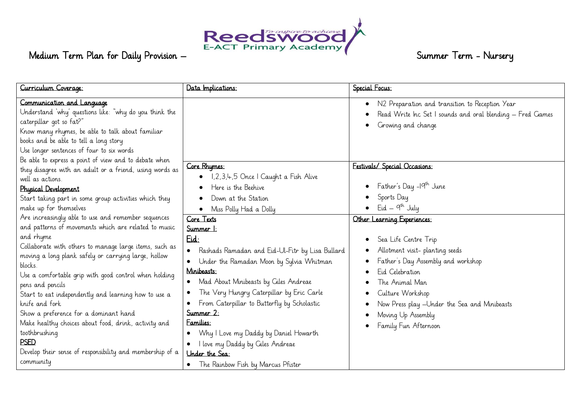

| Curriculum Coverage:                                                                                                                                                                                                                                                                                                                                                                                                                                                                                                                                                                                                    | Data Implications:                                                                                                                                                                                                                                                                                                                                                                                                                                                                                                                 | Special Focus:                                                                                                                                                                                                                                                                       |
|-------------------------------------------------------------------------------------------------------------------------------------------------------------------------------------------------------------------------------------------------------------------------------------------------------------------------------------------------------------------------------------------------------------------------------------------------------------------------------------------------------------------------------------------------------------------------------------------------------------------------|------------------------------------------------------------------------------------------------------------------------------------------------------------------------------------------------------------------------------------------------------------------------------------------------------------------------------------------------------------------------------------------------------------------------------------------------------------------------------------------------------------------------------------|--------------------------------------------------------------------------------------------------------------------------------------------------------------------------------------------------------------------------------------------------------------------------------------|
| Communication and Language<br>Understand 'why' questions like: "why do you think the<br>caterpillar got so fat?"<br>Know many rhymes, be able to talk about familiar<br>books and be able to tell a long story<br>Use longer sentences of four to six words<br>Be able to express a point of view and to debate when                                                                                                                                                                                                                                                                                                    | Core Rhymes:                                                                                                                                                                                                                                                                                                                                                                                                                                                                                                                       | N2 Preparation and transition to Reception Year<br>Read Write Inc Set I sounds and oral blending - Fred Games<br>Growing and change<br>Festivals/ Special Occasions:                                                                                                                 |
| they disagree with an adult or a friend, using words as<br>well as actions.<br>Physical Development<br>Start taking part in some group activities which they<br>make up for themselves                                                                                                                                                                                                                                                                                                                                                                                                                                  | 1,2,3,4,5 Once I Caught a Fish Alive<br>Here is the Beehive<br>Down at the Station<br>Miss Polly Had a Dolly<br>$\bullet$                                                                                                                                                                                                                                                                                                                                                                                                          | Father's Day -19 <sup>th</sup> June<br>Sports Day<br>$Eid - q^{th}$ July                                                                                                                                                                                                             |
| Are increasingly able to use and remember sequences<br>and patterns of movements which are related to music<br>and rhyme<br>Collaborate with others to manage large items, such as<br>moving a long plank safely or carrying large, hollow<br>blocks.<br>Use a comfortable grip with good control when holding<br>pens and pencils<br>Start to eat independently and learning how to use a<br>knife and fork<br>Show a preference for a dominant hand<br>Make healthy choices about food, drink, activity and<br>toothbrushing<br><b>PSED</b><br>Develop their sense of responsibility and membership of a<br>community | Core Texts<br>Summer 1:<br>$Eid$ :<br>Rashads Ramadan and Eid-Ul-Fitr by Lisa Bullard<br>$\bullet$<br>Under the Ramadan Moon by Sylvia Whitman<br>$\bullet$<br>Minibeasts:<br>Mad About Minibeasts by Ciles Andreae<br>$\bullet$<br>The Very Hungry Caterpillar by Eric Carle<br>$\bullet$<br>From Caterpillar to Butterfly by Scholastic<br>Summer 2:<br>Families:<br>Why I Love my Daddy by Daniel Howarth<br>$\bullet$<br>I love my Daddy by Giles Andreae<br>$\bullet$<br>Under the Sea:<br>The Rainbow Fish by Marcus Pfister | Other Learning Experiences:<br>Sea Life Centre Trip<br>Allotment visit- planting seeds<br>Father's Day Assembly and workshop<br>Eid Celebration<br>The Animal Man<br>Culture Workshop<br>Now Press play - Under the Sea and Minibeasts<br>Moving Up Assembly<br>Family Fun Afternoon |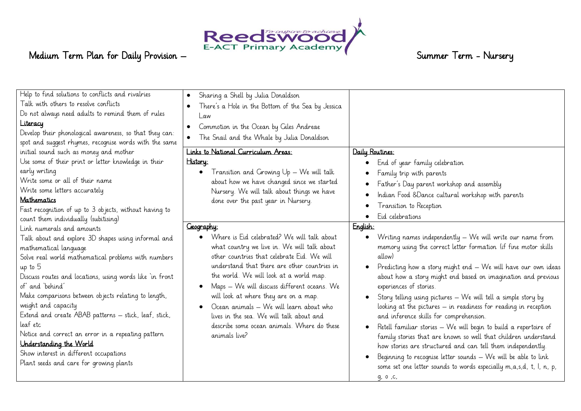

| Help to find solutions to conflicts and rivalries<br>Talk with others to resolve conflicts<br>Do not always need adults to remind them of rules<br>Literacy<br>Develop their phonological awareness, so that they can:<br>spot and suggest rhymes, recognise words with the same                                                                                                                                                                                                                                                                                                      | Sharing a Shell by Julia Donaldson<br>$\bullet$<br>There's a Hole in the Bottom of the Sea by Jessica<br>$\bullet$<br>Law<br>Commotion in the Ocean by Giles Andreae<br>$\bullet$<br>The Snail and the Whale by Julia Donaldson                                                                                                                                                                                                                                                                   |                                                                                                                                                                                                                                                                                                                                                                                                                                                                                                                                                                                                                                                                                                                                                                                                                                                             |
|---------------------------------------------------------------------------------------------------------------------------------------------------------------------------------------------------------------------------------------------------------------------------------------------------------------------------------------------------------------------------------------------------------------------------------------------------------------------------------------------------------------------------------------------------------------------------------------|---------------------------------------------------------------------------------------------------------------------------------------------------------------------------------------------------------------------------------------------------------------------------------------------------------------------------------------------------------------------------------------------------------------------------------------------------------------------------------------------------|-------------------------------------------------------------------------------------------------------------------------------------------------------------------------------------------------------------------------------------------------------------------------------------------------------------------------------------------------------------------------------------------------------------------------------------------------------------------------------------------------------------------------------------------------------------------------------------------------------------------------------------------------------------------------------------------------------------------------------------------------------------------------------------------------------------------------------------------------------------|
| initial sound such as money and mother<br>Use some of their print or letter knowledge in their<br>early writing<br>Write some or all of their name<br>Write some letters accurately<br>Mathematics<br>Fast recognition of up to 3 objects, without having to<br>count them individually (subitising)                                                                                                                                                                                                                                                                                  | Links to National Curriculum Areas:<br>History:<br>Transition and Growing $Up - We$ will talk<br>about how we have changed since we started<br>Nursery. We will talk about things we have<br>done over the past year in Nursery.                                                                                                                                                                                                                                                                  | Daily Routines:<br>End of year family celebration<br>Family trip with parents<br>Father's Day parent workshop and assembly<br>Indian Food &Dance cultural workshop with parents<br>Transition to Reception<br>Eid celebrations                                                                                                                                                                                                                                                                                                                                                                                                                                                                                                                                                                                                                              |
| Link numerals and amounts<br>Talk about and explore 3D shapes using informal and<br>mathematical language<br>Solve real world mathematical problems with numbers<br>up to 5<br>Discuss routes and locations, using words like 'in front<br>of' and 'behind'<br>Make comparisons between objects relating to length,<br>weight and capacity<br>Extend and create ABAB patterns - stick, leaf, stick,<br>leaf etc<br>Notice and correct an error in a repeating pattern<br>Understanding the World<br>Show interest in different occupations<br>Plant seeds and care for growing plants | Geography:<br>Where is Eid celebrated? We will talk about<br>what country we live in. We will talk about<br>other countries that celebrate Eid. We will<br>understand that there are other countries in<br>the world. We will look at a world map.<br>Maps - We will discuss different oceans. We<br>will look at where they are on a map.<br>Ocean animals - We will learn about who<br>lives in the sea. We will talk about and<br>describe some ocean animals. Where do these<br>animals live? | English:<br>Writing names independently - We will write our name from<br>memory using the correct letter formation (if fine motor skills<br>allow)<br>Predicting how a story might end - We will have our own ideas<br>about how a story might end based on imagination and previous<br>experiences of stories.<br>Story telling using pictures - We will tell a simple story by<br>looking at the pictures - in readiness for reading in reception<br>and inference skills for comprehension.<br>Retell familiar stories - We will begin to build a repertoire of<br>family stories that are known so well that children understand<br>how stories are structured and can tell them independently.<br>Beginning to recognise letter sounds - We will be able to link<br>some set one letter sounds to words especially m, a, s, d, t, l, n, p,<br>g, o ,c, |